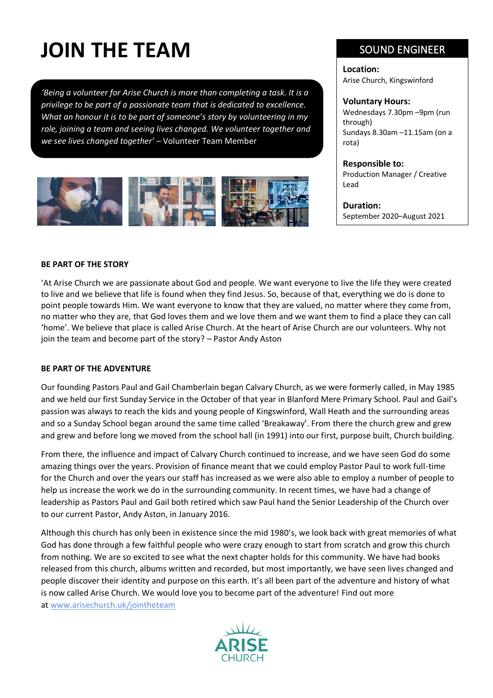# **JOIN THE TEAM**

*'Being a volunteer for Arise Church is more than completing a task. It is a privilege to be part of a passionate team that is dedicated to excellence. What an honour it is to be part of someone's story by volunteering in my role, joining a team and seeing lives changed. We volunteer together and we see lives changed together'* – Volunteer Team Member



# SOUND ENGINEER

**Location:** Arise Church, Kingswinford

#### **Voluntary Hours:**

Wednesdays 7.30pm –9pm (run through) Sundays 8.30am –11.15am (on a rota)

#### **Responsible to:**

Production Manager / Creative Lead

**Duration:** September 2020–August 2021

#### **BE PART OF THE STORY**

'At Arise Church we are passionate about God and people. We want everyone to live the life they were created to live and we believe that life is found when they find Jesus. So, because of that, everything we do is done to point people towards Him. We want everyone to know that they are valued, no matter where they come from, no matter who they are, that God loves them and we love them and we want them to find a place they can call 'home'. We believe that place is called Arise Church. At the heart of Arise Church are our volunteers. Why not join the team and become part of the story? – Pastor Andy Aston

#### **BE PART OF THE ADVENTURE**

Our founding Pastors Paul and Gail Chamberlain began Calvary Church, as we were formerly called, in May 1985 and we held our first Sunday Service in the October of that year in Blanford Mere Primary School. Paul and Gail's passion was always to reach the kids and young people of Kingswinford, Wall Heath and the surrounding areas and so a Sunday School began around the same time called 'Breakaway'. From there the church grew and grew and grew and before long we moved from the school hall (in 1991) into our first, purpose built, Church building.

From there, the influence and impact of Calvary Church continued to increase, and we have seen God do some amazing things over the years. Provision of finance meant that we could employ Pastor Paul to work full-time for the Church and over the years our staff has increased as we were also able to employ a number of people to help us increase the work we do in the surrounding community. In recent times, we have had a change of leadership as Pastors Paul and Gail both retired which saw Paul hand the Senior Leadership of the Church over to our current Pastor, Andy Aston, in January 2016.

Although this church has only been in existence since the mid 1980's, we look back with great memories of what God has done through a few faithful people who were crazy enough to start from scratch and grow this church from nothing. We are so excited to see what the next chapter holds for this community. We have had books released from this church, albums written and recorded, but most importantly, we have seen lives changed and people discover their identity and purpose on this earth. It's all been part of the adventure and history of what is now called Arise Church. We would love you to become part of the adventure! Find out more at [www.arisechurch.uk/jointheteam](http://www.arisechurch.uk/jointheteam)